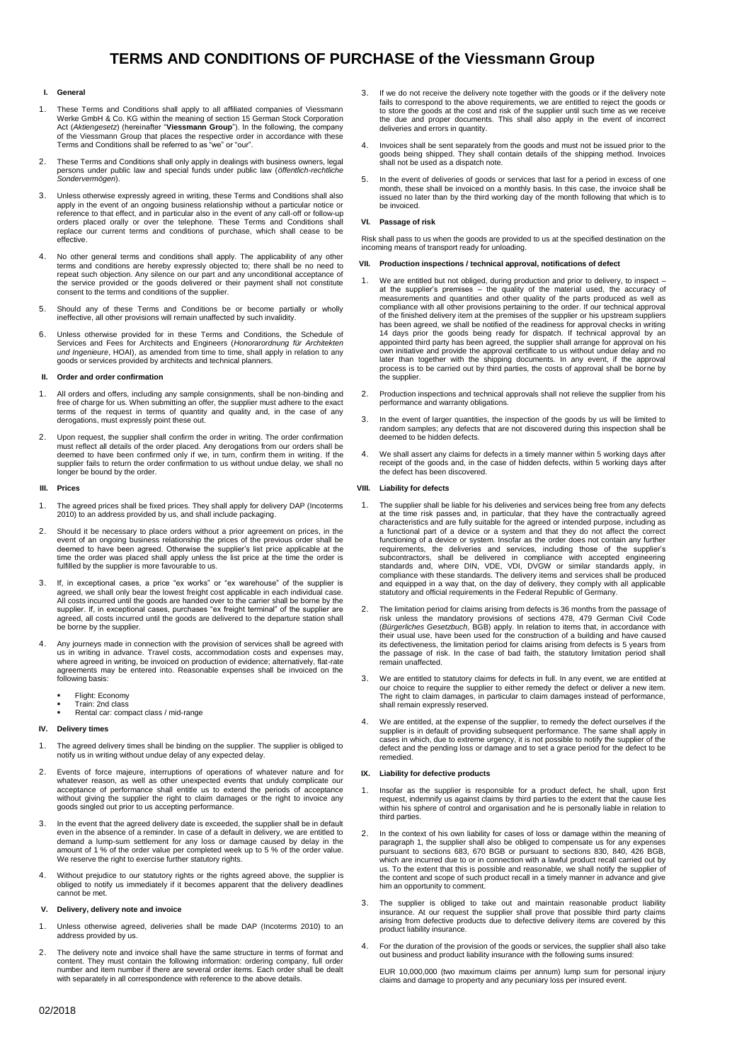# **TERMS AND CONDITIONS OF PURCHASE of the Viessmann Group**

#### **I. General**

- These Terms and Conditions shall apply to all affiliated companies of Viessmann Werke GmbH & Co. KG within the meaning of section 15 German Stock Corporation<br>Act (Aktiengesetz) (hereinafter "**Viessmann Group**"). In the following, the company<br>of the Viessmann Group that places the respective order in Terms and Conditions shall be referred to as "we" or "our".
- 2. These Terms and Conditions shall only apply in dealings with business owners, legal persons under public law and special funds under public law (*öffentlich-rechtliche Sondervermögen*).
- 3. Unless otherwise expressly agreed in writing, these Terms and Conditions shall also apply in the event of an ongoing business relationship without a particular notice or reference to that effect, and in particular also in the event of any call-off or follow-up<br>orders placed orally or over the telephone. These Terms and Conditions shall<br>replace our current terms and conditions of purchase, effective.
- 4. No other general terms and conditions shall apply. The applicability of any other terms and conditions are hereby expressly objected to; there shall be no need to repeat such objection. Any silence on our part and any unconditional acceptance of the service provided or the goods delivered or their payment shall not constitute consent to the terms and conditions of the supplier.
- 5. Should any of these Terms and Conditions be or become partially or wholly ineffective, all other provisions will remain unaffected by such invalidity.
- 6. Unless otherwise provided for in these Terms and Conditions, the Schedule of Services and Fees for Architects and Engineers (*Honorarordnung für Architekten und Ingenieure*, HOAI), as amended from time to time, shall apply in relation to any goods or services provided by architects and technical planners.

#### **II. Order and order confirmation**

- 1. All orders and offers, including any sample consignments, shall be non-binding and free of charge for us. When submitting an offer, the supplier must adhere to the exact terms of the request in terms of quantity and quality and, in the case of any derogations, must expressly point these out.
- 2. Upon request, the supplier shall confirm the order in writing. The order confirmation must reflect all details of the order placed. Any derogations from our orders shall be deemed to have been confirmed only if we, in turn, confirm them in writing. If the supplier fails to return the order confirmation to us without undue delay, we shall no longer be bound by the order.

#### **III. Prices**

- 1. The agreed prices shall be fixed prices. They shall apply for delivery DAP (Incoterms 2010) to an address provided by us, and shall include packaging.
- 2. Should it be necessary to place orders without a prior agreement on prices, in the event of an ongoing business relationship the prices of the previous order shall be<br>deemed to have been agreed. Otherwise the supplier's list price applicable at the<br>time the order was placed shall apply unless the list pr fulfilled by the supplier is more favourable to us.
- 3. If, in exceptional cases, a price "ex works" or "ex warehouse" of the supplier is agreed, we shall only bear the lowest freight cost applicable in each individual case. All costs incurred until the goods are handed over agreed, all costs incurred until the goods are delivered to the departure station shall be borne by the supplier.
- Any journeys made in connection with the provision of services shall be agreed with us in writing in advance. Travel costs, accommodation costs and expenses may, where agreed in writing, be invoiced on production of evidence; alternatively, flat-rate agreements may be entered into. Reasonable expenses shall be invoiced on the following basis:
	- Flight: Economy Train: 2nd class
	- Rental car: compact class / mid-range

#### **IV.** Delivery time

- The agreed delivery times shall be binding on the supplier. The supplier is obliged to notify us in writing without undue delay of any expected delay.
- 2. Events of force majeure, interruptions of operations of whatever nature and for whatever reason, as well as other unexpected events that unduly complicate our acceptance of performance shall entitle us to extend the periods of acceptance without giving the supplier the right to claim damages or the right to invoice any goods singled out prior to us accepting performance.
- 3. In the event that the agreed delivery date is exceeded, the supplier shall be in default even in the absence of a reminder. In case of a default in delivery, we are entitled to demand a lump-sum settlement for any loss or damage caused by delay in the amount of 1 % of the order value per completed week up to 5 % of the order value. We reserve the right to exercise further statutory rights.
- 4. Without prejudice to our statutory rights or the rights agreed above, the supplier is obliged to notify us immediately if it becomes apparent that the delivery deadlines cannot be met.

#### **V. Delivery, delivery note and invoice**

- 1. Unless otherwise agreed, deliveries shall be made DAP (Incoterms 2010) to an address provided by us.
- 2. The delivery note and invoice shall have the same structure in terms of format and content. They must contain the following information: ordering company, full order number and item number if there are several order items. Each order shall be dealt with separately in all correspondence with reference to the above details.
- 3. If we do not receive the delivery note together with the goods or if the delivery note fails to correspond to the above requirements, we are entitled to reject the goods or to store the goods at the cost and risk of the supplier until such time as we receive the due and proper documents. This shall also apply in the event of incorrect deliveries and errors in quantity.
- 4. Invoices shall be sent separately from the goods and must not be issued prior to the goods being shipped. They shall contain details of the shipping method. Invoices shall not be used as a dispatch note.
- 5. In the event of deliveries of goods or services that last for a period in excess of one month, these shall be invoiced on a monthly basis. In this case, the invoice shall be issued no later than by the third working day of the month following that which is to be invoiced.

## **VI. Passage of risk**

Risk shall pass to us when the goods are provided to us at the specified destination on the incoming means of transport ready for unloading.

#### **VII. Production inspections / technical approval, notifications of defect**

- We are entitled but not obliged, during production and prior to delivery, to inspect at the supplier's premises – the quality of the material used, the accuracy of measurements and quantities and other quality of the parts produced as well as compliance with all other provisions pertaining to the order. If has been agreed, we shall be notified of the readiness for approval checks in writing 14 days prior the goods being ready for dispatch. If technical approval by an appointed third party has been agreed, the supplier shall arrange for approval on his own initiative and provide the approval certificate to us the supplier.
- 2. Production inspections and technical approvals shall not relieve the supplier from his performance and warranty obligations.
- 3. In the event of larger quantities, the inspection of the goods by us will be limited to random samples; any defects that are not discovered during this inspection shall be deemed to be hidden defects.
- 4. We shall assert any claims for defects in a timely manner within 5 working days after receipt of the goods and, in the case of hidden defects, within 5 working days after the defect has been discovered.

## **VIII. Liability for defects**

- 1. The supplier shall be liable for his deliveries and services being free from any defects at the time risk passes and, in particular, that they have the contractually agreed characteristics and are fully suitable for the agreed or intended purpose, including as a functional part of a device or a system and that they do not affect the correct functioning of a device or system. Insofar as the order does not contain any further<br>requirements, the deliveries and services, including those of the supplier's<br>subcontractors, shall be delivered in compliance with accept compliance with these standards. The delivery items and services shall be produced<br>and equipped in a way that, on the day of delivery, they comply with all applicable<br>statutory and official requirements in the Federal Repu
- 2. The limitation period for claims arising from defects is 36 months from the passage of risk unless the mandatory provisions of sections 478, 479 German Civil Code (*Bürgerliches Gesetzbuch*, BGB) apply. In relation to items that, in accordance with their usual use, have been used for the construction of a building and have caused its defectiveness, the limitation period for claims arising from defects is 5 years from the passage of risk. In the case of bad faith, the statutory limitation period shall remain unaffected.
- 3. We are entitled to statutory claims for defects in full. In any event, we are entitled at our choice to require the supplier to either remedy the defect or deliver a new item. The right to claim damages, in particular to claim damages instead of performance, shall remain expressly reserved.
- 4. We are entitled, at the expense of the supplier, to remedy the defect ourselves if the supplier is in default of providing subsequent performance. The same shall apply in cases in which, due to extreme urgency, it is not possible to notify the supplier of the defect and the pending loss or damage and to set a grace period for the defect to be remedied.

#### **IX. Liability for defective products**

- 1. Insofar as the supplier is responsible for a product defect, he shall, upon first request, indemnify us against claims by third parties to the extent that the cause lies within his sphere of control and organisation and he is personally liable in relation to third parties.
- 2. In the context of his own liability for cases of loss or damage within the meaning of paragraph 1, the supplier shall also be obliged to compensate us for any expenses pursuant to sections 683, 670 BGB pursuant to secti us. To the extent that this is possible and reasonable, we shall notify the supplier of the content and scope of such product recall in a timely manner in advance and give him an opportunity to comment.
- 3. The supplier is obliged to take out and maintain reasonable product liability insurance. At our request the supplier shall prove that possible third party claims arising from defective products due to defective delivery items are covered by this product liability insurance.
- 4. For the duration of the provision of the goods or services, the supplier shall also take out business and product liability insurance with the following sums insured:

EUR 10,000,000 (two maximum claims per annum) lump sum for personal injury claims and damage to property and any pecuniary loss per insured event.